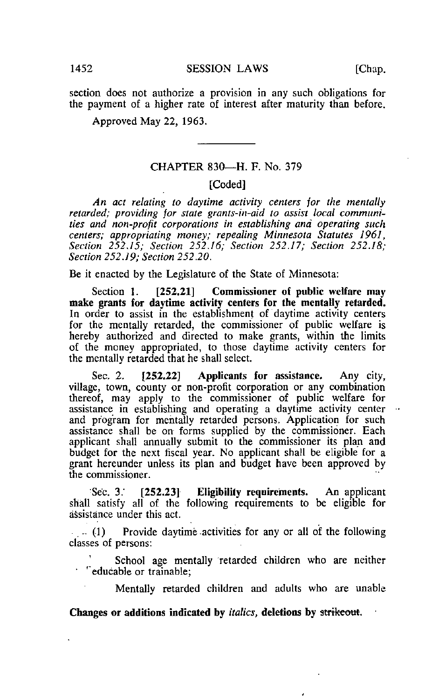section does not authorize a provision in any such obligations for the payment of a higher rate of interest after maturity than before.

Approved May 22, 1963.

## CHAPTER 830—H. F. No. 379

## [Coded]

An act relating to daytime activity centers jor the mentally retarded; providing for state grants-in-aid to assist local communities and non-profit corporations in establishing and operating such centers; appropriating money; repealing Minnesota Statutes 1961, Section 252,15; Section 252.16; Section 252.17; Section 252.18; Section 252.19; Section 252.20.

Be it enacted by the Legislature of the State of Minnesota:

Section 1. [252,21] Commissioner of public welfare may make grants for daytime activity centers for the mentally retarded. In order to assist in the establishment of daytime activity centers for the mentally retarded, the commissioner of public welfare is hereby authorized and directed to make grants, within the limits of the money appropriated, to those daytime activity centers for the mentally retarded that he shall select.

Sec. 2. [252.22] Applicants for assistance. Any city, village, town, county or non-profit corporation or any combination thereof, may apply to the commissioner of public welfare for assistance in establishing and operating a daytime activity center and program for mentally retarded persons. Application for such assistance shall be on forms supplied by the commissioner. Each applicant shall annually submit to the commissioner its plan and budget for the next fiscal year. No applicant shall be eligible for a grant hereunder unless its plan and budget have been approved by the commissioner.

•Sec. 3." [252.23] Eligibility requirements. An applicant shall satisfy all of the following requirements to be eligible for assistance under this act.

 $(1)$  Provide daytime activities for any or all of the following classes of persons:

School age mentally retarded children who are neither <sup>'</sup> educable or trainable;

Mentally retarded children and adults who are unable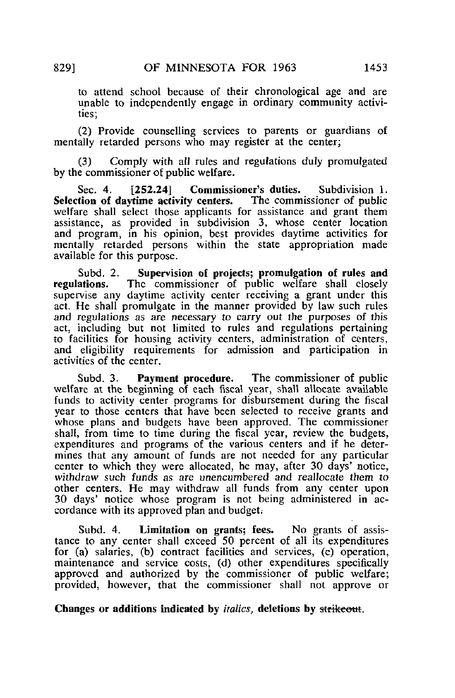to attend school because of their chronological age and are unable to independently engage in ordinary community activities;

(2) Provide counselling services to parents or guardians of mentally retarded persons who may register at the center;

(3) Comply with all rules and regulations duly promulgated by the commissioner of public welfare.

Sec. 4. [252.24] Commissioner's duties. Subdivision 1. Selection of daytime activity centers. The commissioner of public welfare shall select those applicants for assistance and grant them assistance, as provided in subdivision 3, whose center location and program, in his opinion, best provides daytime activities for mentally retarded persons within the state appropriation made available for this purpose.

Subd. 2. Supervision of projects; promulgation of rules and regulations. The commissioner of public welfare shall closely The commissioner of public welfare shall closely supervise any daytime activity center receiving a grant under this act. He shall promulgate in the manner provided by law such rules and regulations as are necessary to carry out the purposes of this act, including but not limited to rules and regulations pertaining to facilities for housing activity centers, administration of centers, and eligibility requirements for admission and participation in activities of the center.

Subd. 3. Payment procedure. The commissioner of public welfare at the beginning of each fiscal year, shall allocate available funds to activity center programs for disbursement during the fiscal year to those centers that have been selected to receive grants and whose plans and budgets have been approved. The commissioner shall, from time to time during the fiscal year, review the budgets, expenditures and programs of the various centers and if he determines that any amount of funds are not needed for any particular center to which they were allocated, he may, after 30 days' notice, withdraw such funds as are unencumbered and reallocate them to other centers. He may withdraw all funds from any center upon 30 days' notice whose program is not being administered in accordance with its approved plan and budget;

Subd. 4. Limitation on grants; fees. No grants of assistance to any center shall exceed 50 percent of all its expenditures for (a) salaries, (b) contract facilities and services, (c) operation, maintenance and service costs, (d) other expenditures specifically approved and authorized by the commissioner of public welfare; provided, however, that the commissioner shall not approve or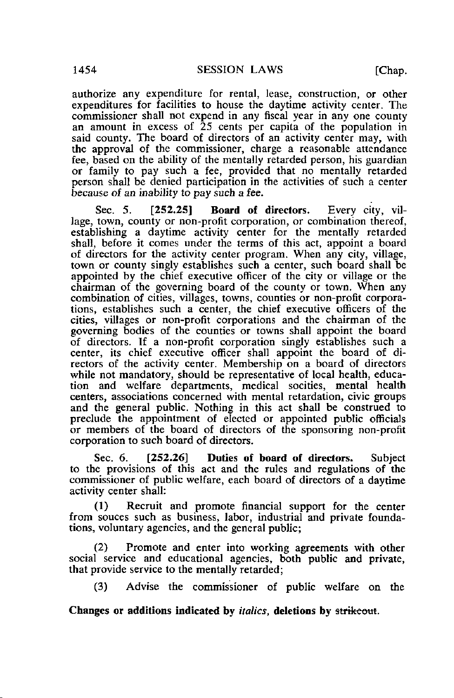authorize any expenditure for rental, lease, construction, or other expenditures for facilities to house the daytime activity center. The commissioner shall not expend in any fiscal year in any one county an amount in excess of 25 cents per capita of the population in said county. The board of directors of an activity center may, with the approval of the commissioner, charge a reasonable attendance fee, based on the ability of the mentally retarded person, his guardian or family to pay such a fee, provided that no mentally retarded person shall be denied participation in the activities of such a center because of an inability to pay such a fee.

Sec. 5. [252.25] Board of directors. Every city, village, town, county or non-profit corporation, or combination thereof, establishing a daytime activity center for the mentally retarded shall, before it comes under the terms of this act, appoint a board of directors for the activity center program. When any city, village, town or county singly establishes such a center, such board shall be appointed by the chief executive officer of the city or village or the chairman of the governing board of the county or town. When any combination of cities, villages, towns, counties or non-profit corporations, establishes such a center, the chief executive officers of the cities, villages or non-profit corporations and the chairman of the governing bodies of the counties or towns shall appoint the board of directors. If a non-profit corporation singly establishes such a center, its chief executive officer shall appoint the board of directors of the activity center. Membership on a board of directors while not mandatory, should be representative of local health, education and welfare departments, medical socities, mental health centers, associations concerned with mental retardation, civic groups and the general public. Nothing in this act shall be construed to preclude the appointment of elected or appointed public officials or members of the board of directors of the sponsoring non-profit corporation to such board of directors.

Sec. 6. [252.26] Duties of board of directors. Subject to the provisions of this act and the rules and regulations of the commissioner of public welfare, each board of directors of a daytime activity center shall:

(1) Recruit and promote financial support for the center from souces such as business, labor, industrial and private foundations, voluntary agencies, and the general public;

(2) Promote and enter into working agreements with other social service and educational agencies, both public and private, that provide service to the mentally retarded;

(3) Advise the commissioner of public welfare on the